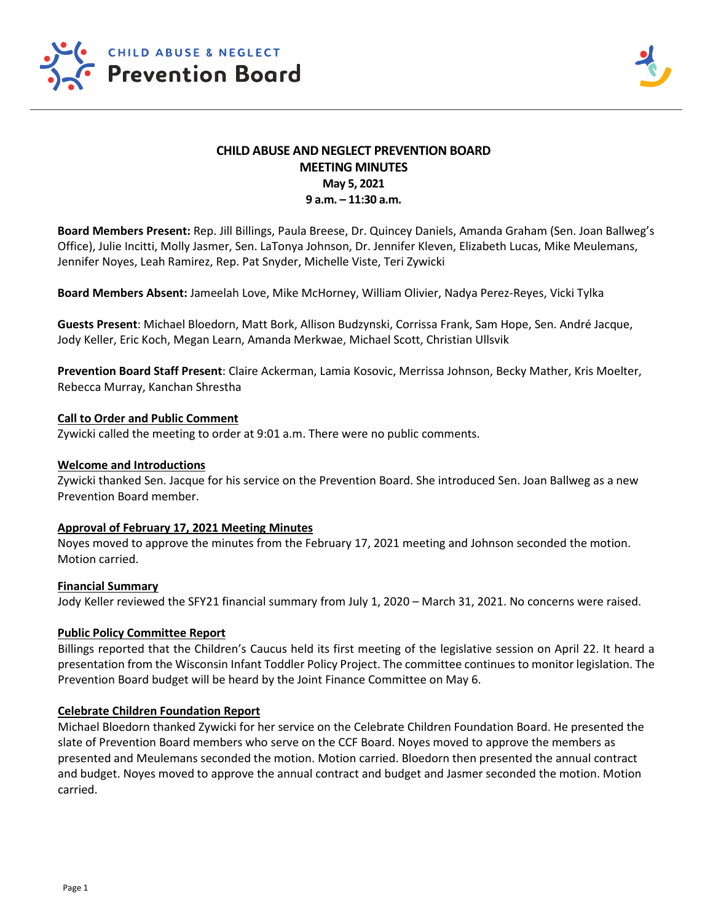

# **CHILD ABUSE AND NEGLECT PREVENTION BOARD MEETING MINUTES May 5, 2021 9 a.m. – 11:30 a.m.**

**Board Members Present:** Rep. Jill Billings, Paula Breese, Dr. Quincey Daniels, Amanda Graham (Sen. Joan Ballweg's Office), Julie Incitti, Molly Jasmer, Sen. LaTonya Johnson, Dr. Jennifer Kleven, Elizabeth Lucas, Mike Meulemans, Jennifer Noyes, Leah Ramirez, Rep. Pat Snyder, Michelle Viste, Teri Zywicki

**Board Members Absent:** Jameelah Love, Mike McHorney, William Olivier, Nadya Perez-Reyes, Vicki Tylka

**Guests Present**: Michael Bloedorn, Matt Bork, Allison Budzynski, Corrissa Frank, Sam Hope, Sen. André Jacque, Jody Keller, Eric Koch, Megan Learn, Amanda Merkwae, Michael Scott, Christian Ullsvik

**Prevention Board Staff Present**: Claire Ackerman, Lamia Kosovic, Merrissa Johnson, Becky Mather, Kris Moelter, Rebecca Murray, Kanchan Shrestha

## **Call to Order and Public Comment**

Zywicki called the meeting to order at 9:01 a.m. There were no public comments.

### **Welcome and Introductions**

Zywicki thanked Sen. Jacque for his service on the Prevention Board. She introduced Sen. Joan Ballweg as a new Prevention Board member.

# **Approval of February 17, 2021 Meeting Minutes**

Noyes moved to approve the minutes from the February 17, 2021 meeting and Johnson seconded the motion. Motion carried.

#### **Financial Summary**

Jody Keller reviewed the SFY21 financial summary from July 1, 2020 – March 31, 2021. No concerns were raised.

# **Public Policy Committee Report**

Billings reported that the Children's Caucus held its first meeting of the legislative session on April 22. It heard a presentation from the Wisconsin Infant Toddler Policy Project. The committee continues to monitor legislation. The Prevention Board budget will be heard by the Joint Finance Committee on May 6.

#### **Celebrate Children Foundation Report**

Michael Bloedorn thanked Zywicki for her service on the Celebrate Children Foundation Board. He presented the slate of Prevention Board members who serve on the CCF Board. Noyes moved to approve the members as presented and Meulemans seconded the motion. Motion carried. Bloedorn then presented the annual contract and budget. Noyes moved to approve the annual contract and budget and Jasmer seconded the motion. Motion carried.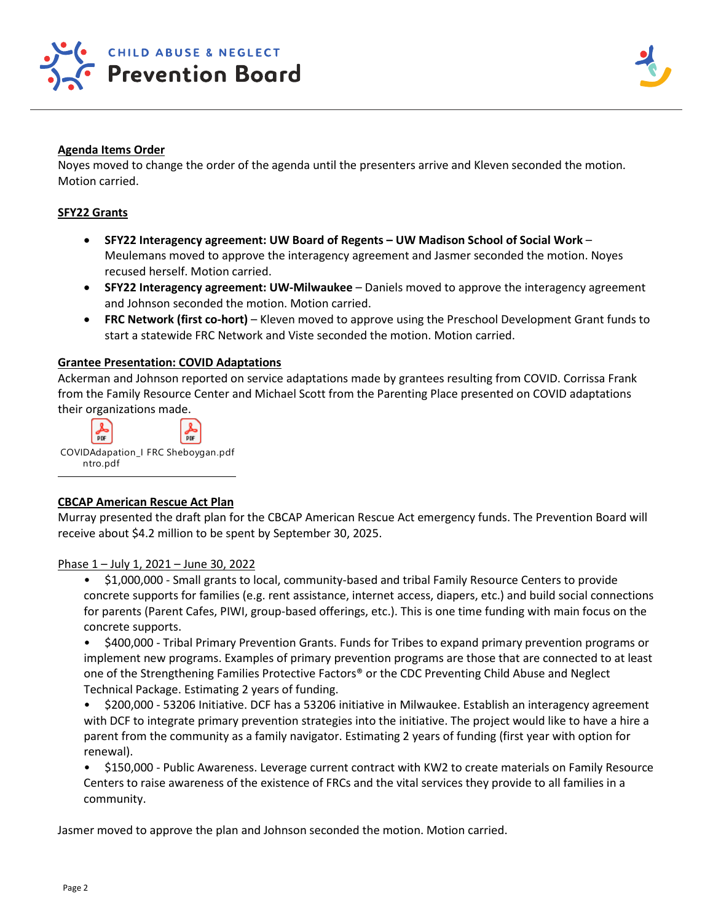

## **Agenda Items Order**

Noyes moved to change the order of the agenda until the presenters arrive and Kleven seconded the motion. Motion carried.

## **SFY22 Grants**

- **SFY22 Interagency agreement: UW Board of Regents – UW Madison School of Social Work** Meulemans moved to approve the interagency agreement and Jasmer seconded the motion. Noyes recused herself. Motion carried.
- **SFY22 Interagency agreement: UW-Milwaukee**  Daniels moved to approve the interagency agreement and Johnson seconded the motion. Motion carried.
- **FRC Network (first co-hort)**  Kleven moved to approve using the Preschool Development Grant funds to start a statewide FRC Network and Viste seconded the motion. Motion carried.

## **Grantee Presentation: COVID Adaptations**

Ackerman and Johnson reported on service adaptations made by grantees resulting from COVID. Corrissa Frank from the Family Resource Center and Michael Scott from the Parenting Place presented on COVID adaptations their organizations made.



### **CBCAP American Rescue Act Plan**

Murray presented the draft plan for the CBCAP American Rescue Act emergency funds. The Prevention Board will receive about \$4.2 million to be spent by September 30, 2025.

#### Phase 1 – July 1, 2021 – June 30, 2022

• \$1,000,000 - Small grants to local, community-based and tribal Family Resource Centers to provide concrete supports for families (e.g. rent assistance, internet access, diapers, etc.) and build social connections for parents (Parent Cafes, PIWI, group-based offerings, etc.). This is one time funding with main focus on the concrete supports.

• \$400,000 - Tribal Primary Prevention Grants. Funds for Tribes to expand primary prevention programs or implement new programs. Examples of primary prevention programs are those that are connected to at least one of the Strengthening Families Protective Factors® or the CDC Preventing Child Abuse and Neglect Technical Package. Estimating 2 years of funding.

• \$200,000 - 53206 Initiative. DCF has a 53206 initiative in Milwaukee. Establish an interagency agreement with DCF to integrate primary prevention strategies into the initiative. The project would like to have a hire a parent from the community as a family navigator. Estimating 2 years of funding (first year with option for renewal).

• \$150,000 - Public Awareness. Leverage current contract with KW2 to create materials on Family Resource Centers to raise awareness of the existence of FRCs and the vital services they provide to all families in a community.

Jasmer moved to approve the plan and Johnson seconded the motion. Motion carried.